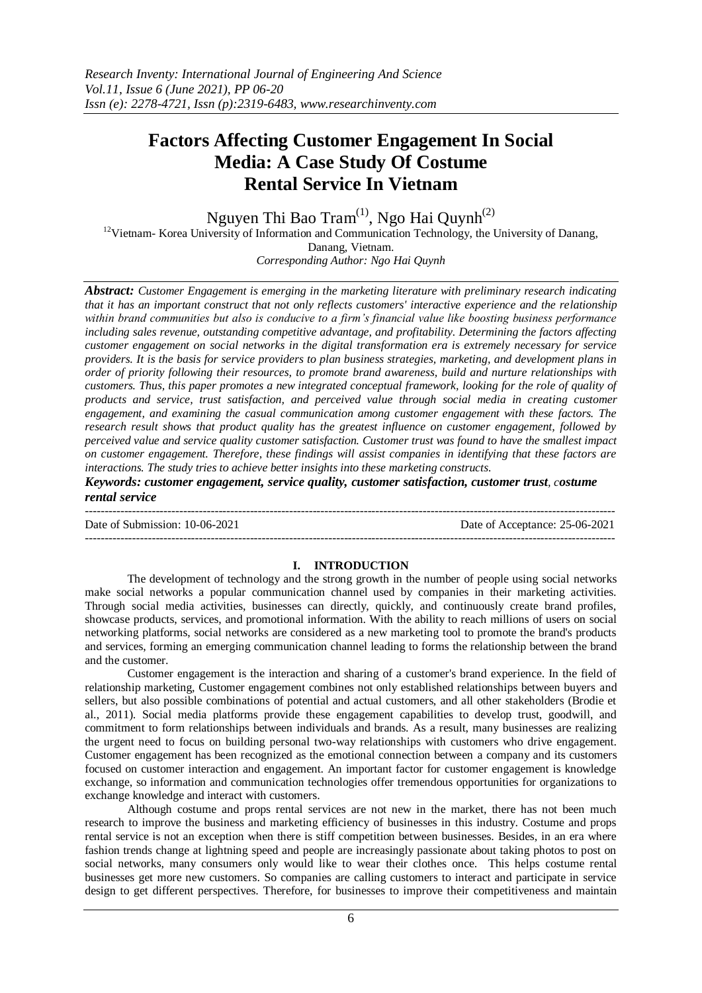# **Factors Affecting Customer Engagement In Social Media: A Case Study Of Costume Rental Service In Vietnam**

Nguyen Thi Bao Tram<sup>(1)</sup>, Ngo Hai Quynh<sup>(2)</sup>

<sup>12</sup>Vietnam- Korea University of Information and Communication Technology, the University of Danang,

Danang, Vietnam.

*Corresponding Author: Ngo Hai Quynh*

*Abstract: Customer Engagement is emerging in the marketing literature with preliminary research indicating that it has an important construct that not only reflects customers' interactive experience and the relationship within brand communities but also is conducive to a firm's financial value like boosting business performance including sales revenue, outstanding competitive advantage, and profitability. Determining the factors affecting customer engagement on social networks in the digital transformation era is extremely necessary for service providers. It is the basis for service providers to plan business strategies, marketing, and development plans in order of priority following their resources, to promote brand awareness, build and nurture relationships with customers. Thus, this paper promotes a new integrated conceptual framework, looking for the role of quality of products and service, trust satisfaction, and perceived value through social media in creating customer engagement, and examining the casual communication among customer engagement with these factors. The research result shows that product quality has the greatest influence on customer engagement, followed by perceived value and service quality customer satisfaction. Customer trust was found to have the smallest impact on customer engagement. Therefore, these findings will assist companies in identifying that these factors are interactions. The study tries to achieve better insights into these marketing constructs.*

*Keywords: customer engagement, service quality, customer satisfaction, customer trust, costume rental service*

--------------------------------------------------------------------------------------------------------------------------------------- Date of Submission: 10-06-2021 Date of Acceptance: 25-06-2021 ---------------------------------------------------------------------------------------------------------------------------------------

# **I. INTRODUCTION**

The development of technology and the strong growth in the number of people using social networks make social networks a popular communication channel used by companies in their marketing activities. Through social media activities, businesses can directly, quickly, and continuously create brand profiles, showcase products, services, and promotional information. With the ability to reach millions of users on social networking platforms, social networks are considered as a new marketing tool to promote the brand's products and services, forming an emerging communication channel leading to forms the relationship between the brand and the customer.

Customer engagement is the interaction and sharing of a customer's brand experience. In the field of relationship marketing, Customer engagement combines not only established relationships between buyers and sellers, but also possible combinations of potential and actual customers, and all other stakeholders (Brodie et al., 2011). Social media platforms provide these engagement capabilities to develop trust, goodwill, and commitment to form relationships between individuals and brands. As a result, many businesses are realizing the urgent need to focus on building personal two-way relationships with customers who drive engagement. Customer engagement has been recognized as the emotional connection between a company and its customers focused on customer interaction and engagement. An important factor for customer engagement is knowledge exchange, so information and communication technologies offer tremendous opportunities for organizations to exchange knowledge and interact with customers.

Although costume and props rental services are not new in the market, there has not been much research to improve the business and marketing efficiency of businesses in this industry. Costume and props rental service is not an exception when there is stiff competition between businesses. Besides, in an era where fashion trends change at lightning speed and people are increasingly passionate about taking photos to post on social networks, many consumers only would like to wear their clothes once. This helps costume rental businesses get more new customers. So companies are calling customers to interact and participate in service design to get different perspectives. Therefore, for businesses to improve their competitiveness and maintain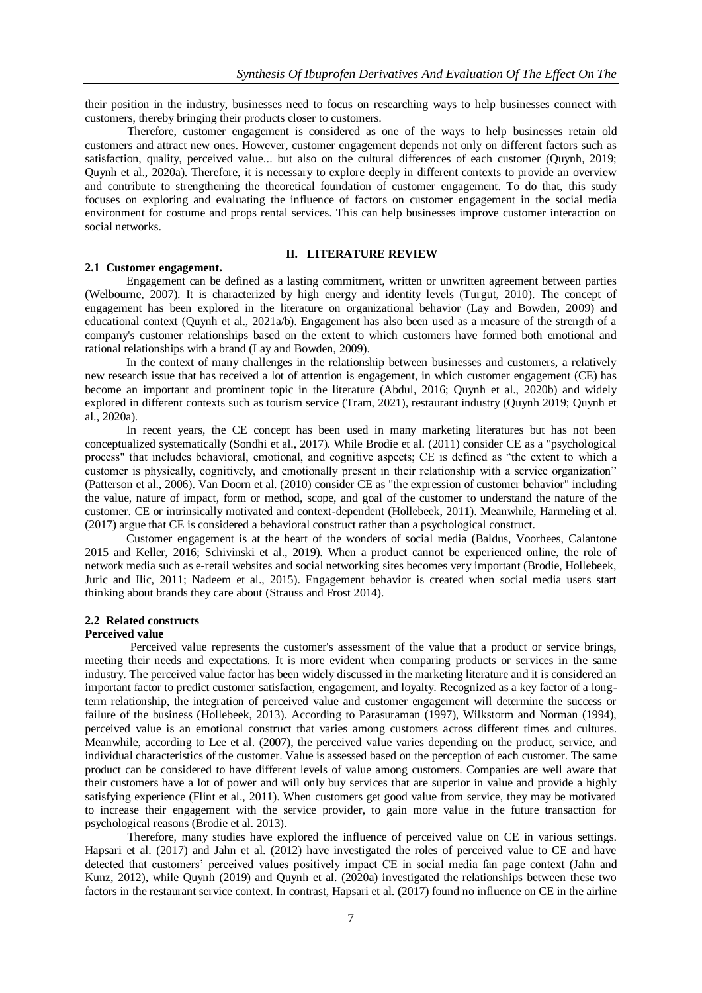their position in the industry, businesses need to focus on researching ways to help businesses connect with customers, thereby bringing their products closer to customers.

Therefore, customer engagement is considered as one of the ways to help businesses retain old customers and attract new ones. However, customer engagement depends not only on different factors such as satisfaction, quality, perceived value... but also on the cultural differences of each customer (Quynh, 2019; Quynh et al., 2020a). Therefore, it is necessary to explore deeply in different contexts to provide an overview and contribute to strengthening the theoretical foundation of customer engagement. To do that, this study focuses on exploring and evaluating the influence of factors on customer engagement in the social media environment for costume and props rental services. This can help businesses improve customer interaction on social networks.

#### **II. LITERATURE REVIEW**

#### **2.1 Customer engagement.**

Engagement can be defined as a lasting commitment, written or unwritten agreement between parties (Welbourne, 2007). It is characterized by high energy and identity levels (Turgut, 2010). The concept of engagement has been explored in the literature on organizational behavior (Lay and Bowden, 2009) and educational context (Quynh et al., 2021a/b). Engagement has also been used as a measure of the strength of a company's customer relationships based on the extent to which customers have formed both emotional and rational relationships with a brand (Lay and Bowden, 2009).

In the context of many challenges in the relationship between businesses and customers, a relatively new research issue that has received a lot of attention is engagement, in which customer engagement (CE) has become an important and prominent topic in the literature (Abdul, 2016; Quynh et al., 2020b) and widely explored in different contexts such as tourism service (Tram, 2021), restaurant industry (Quynh 2019; Quynh et al., 2020a).

In recent years, the CE concept has been used in many marketing literatures but has not been conceptualized systematically (Sondhi et al., 2017). While Brodie et al. (2011) consider CE as a "psychological process" that includes behavioral, emotional, and cognitive aspects; CE is defined as "the extent to which a customer is physically, cognitively, and emotionally present in their relationship with a service organization" (Patterson et al., 2006). Van Doorn et al. (2010) consider CE as "the expression of customer behavior" including the value, nature of impact, form or method, scope, and goal of the customer to understand the nature of the customer. CE or intrinsically motivated and context-dependent (Hollebeek, 2011). Meanwhile, Harmeling et al. (2017) argue that CE is considered a behavioral construct rather than a psychological construct.

Customer engagement is at the heart of the wonders of social media (Baldus, Voorhees, Calantone 2015 and Keller, 2016; Schivinski et al., 2019). When a product cannot be experienced online, the role of network media such as e-retail websites and social networking sites becomes very important (Brodie, Hollebeek, Juric and Ilic, 2011; Nadeem et al., 2015). Engagement behavior is created when social media users start thinking about brands they care about (Strauss and Frost 2014).

# **2.2 Related constructs**

# **Perceived value**

Perceived value represents the customer's assessment of the value that a product or service brings, meeting their needs and expectations. It is more evident when comparing products or services in the same industry. The perceived value factor has been widely discussed in the marketing literature and it is considered an important factor to predict customer satisfaction, engagement, and loyalty. Recognized as a key factor of a longterm relationship, the integration of perceived value and customer engagement will determine the success or failure of the business (Hollebeek, 2013). According to Parasuraman (1997), Wilkstorm and Norman (1994), perceived value is an emotional construct that varies among customers across different times and cultures. Meanwhile, according to Lee et al. (2007), the perceived value varies depending on the product, service, and individual characteristics of the customer. Value is assessed based on the perception of each customer. The same product can be considered to have different levels of value among customers. Companies are well aware that their customers have a lot of power and will only buy services that are superior in value and provide a highly satisfying experience (Flint et al., 2011). When customers get good value from service, they may be motivated to increase their engagement with the service provider, to gain more value in the future transaction for psychological reasons (Brodie et al. 2013).

Therefore, many studies have explored the influence of perceived value on CE in various settings. Hapsari et al. (2017) and Jahn et al. (2012) have investigated the roles of perceived value to CE and have detected that customers' perceived values positively impact CE in social media fan page context (Jahn and Kunz, 2012), while Quynh (2019) and Quynh et al. (2020a) investigated the relationships between these two factors in the restaurant service context. In contrast, Hapsari et al. (2017) found no influence on CE in the airline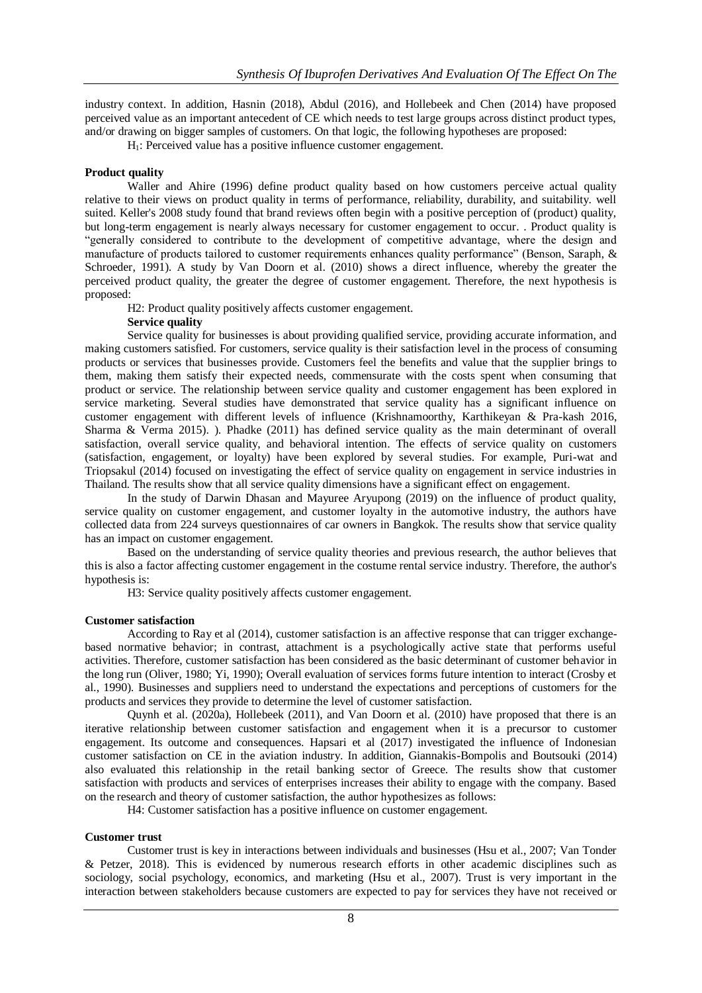industry context. In addition, Hasnin (2018), Abdul (2016), and Hollebeek and Chen (2014) have proposed perceived value as an important antecedent of CE which needs to test large groups across distinct product types, and/or drawing on bigger samples of customers. On that logic, the following hypotheses are proposed:

H1: Perceived value has a positive influence customer engagement.

## **Product quality**

Waller and Ahire (1996) define product quality based on how customers perceive actual quality relative to their views on product quality in terms of performance, reliability, durability, and suitability. well suited. Keller's 2008 study found that brand reviews often begin with a positive perception of (product) quality, but long-term engagement is nearly always necessary for customer engagement to occur. . Product quality is "generally considered to contribute to the development of competitive advantage, where the design and manufacture of products tailored to customer requirements enhances quality performance" (Benson, Saraph, & Schroeder, 1991). A study by Van Doorn et al. (2010) shows a direct influence, whereby the greater the perceived product quality, the greater the degree of customer engagement. Therefore, the next hypothesis is proposed:

H2: Product quality positively affects customer engagement.

# **Service quality**

Service quality for businesses is about providing qualified service, providing accurate information, and making customers satisfied. For customers, service quality is their satisfaction level in the process of consuming products or services that businesses provide. Customers feel the benefits and value that the supplier brings to them, making them satisfy their expected needs, commensurate with the costs spent when consuming that product or service. The relationship between service quality and customer engagement has been explored in service marketing. Several studies have demonstrated that service quality has a significant influence on customer engagement with different levels of influence (Krishnamoorthy, Karthikeyan & Pra-kash 2016, Sharma & Verma 2015). ). Phadke (2011) has defined service quality as the main determinant of overall satisfaction, overall service quality, and behavioral intention. The effects of service quality on customers (satisfaction, engagement, or loyalty) have been explored by several studies. For example, Puri-wat and Triopsakul (2014) focused on investigating the effect of service quality on engagement in service industries in Thailand. The results show that all service quality dimensions have a significant effect on engagement.

In the study of Darwin Dhasan and Mayuree Aryupong (2019) on the influence of product quality, service quality on customer engagement, and customer loyalty in the automotive industry, the authors have collected data from 224 surveys questionnaires of car owners in Bangkok. The results show that service quality has an impact on customer engagement.

Based on the understanding of service quality theories and previous research, the author believes that this is also a factor affecting customer engagement in the costume rental service industry. Therefore, the author's hypothesis is:

H3: Service quality positively affects customer engagement.

# **Customer satisfaction**

According to Ray et al (2014), customer satisfaction is an affective response that can trigger exchangebased normative behavior; in contrast, attachment is a psychologically active state that performs useful activities. Therefore, customer satisfaction has been considered as the basic determinant of customer behavior in the long run (Oliver, 1980; Yi, 1990); Overall evaluation of services forms future intention to interact (Crosby et al., 1990). Businesses and suppliers need to understand the expectations and perceptions of customers for the products and services they provide to determine the level of customer satisfaction.

Quynh et al. (2020a), Hollebeek (2011), and Van Doorn et al. (2010) have proposed that there is an iterative relationship between customer satisfaction and engagement when it is a precursor to customer engagement. Its outcome and consequences. Hapsari et al (2017) investigated the influence of Indonesian customer satisfaction on CE in the aviation industry. In addition, Giannakis-Bompolis and Boutsouki (2014) also evaluated this relationship in the retail banking sector of Greece. The results show that customer satisfaction with products and services of enterprises increases their ability to engage with the company. Based on the research and theory of customer satisfaction, the author hypothesizes as follows:

H4: Customer satisfaction has a positive influence on customer engagement.

#### **Customer trust**

Customer trust is key in interactions between individuals and businesses (Hsu et al., 2007; Van Tonder & Petzer, 2018). This is evidenced by numerous research efforts in other academic disciplines such as sociology, social psychology, economics, and marketing (Hsu et al., 2007). Trust is very important in the interaction between stakeholders because customers are expected to pay for services they have not received or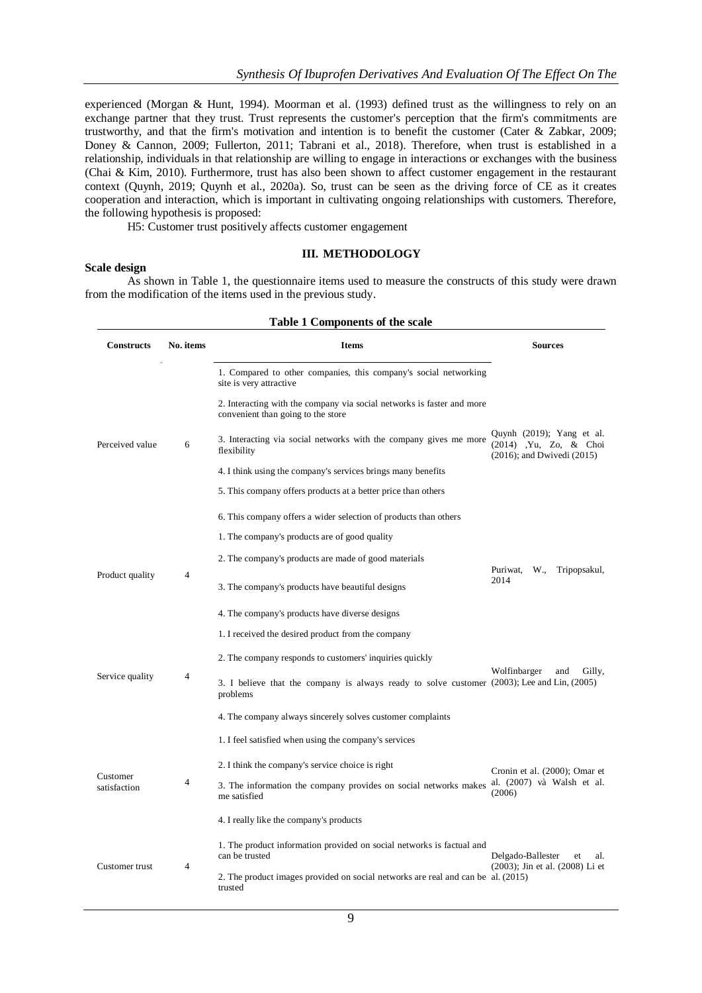experienced (Morgan & Hunt, 1994). Moorman et al. (1993) defined trust as the willingness to rely on an exchange partner that they trust. Trust represents the customer's perception that the firm's commitments are trustworthy, and that the firm's motivation and intention is to benefit the customer (Cater & Zabkar, 2009; Doney & Cannon, 2009; Fullerton, 2011; Tabrani et al., 2018). Therefore, when trust is established in a relationship, individuals in that relationship are willing to engage in interactions or exchanges with the business (Chai & Kim, 2010). Furthermore, trust has also been shown to affect customer engagement in the restaurant context (Quynh, 2019; Quynh et al., 2020a). So, trust can be seen as the driving force of CE as it creates cooperation and interaction, which is important in cultivating ongoing relationships with customers. Therefore, the following hypothesis is proposed:

H5: Customer trust positively affects customer engagement

#### **III. METHODOLOGY**

#### **Scale design**

As shown in Table 1, the questionnaire items used to measure the constructs of this study were drawn from the modification of the items used in the previous study.

| <b>Table 1 Components of the scale</b> |                |                                                                                                              |                                                                                         |  |  |  |  |
|----------------------------------------|----------------|--------------------------------------------------------------------------------------------------------------|-----------------------------------------------------------------------------------------|--|--|--|--|
| <b>Constructs</b>                      | No. items      | <b>Items</b>                                                                                                 | <b>Sources</b>                                                                          |  |  |  |  |
|                                        |                | 1. Compared to other companies, this company's social networking<br>site is very attractive                  |                                                                                         |  |  |  |  |
| Perceived value                        |                | 2. Interacting with the company via social networks is faster and more<br>convenient than going to the store |                                                                                         |  |  |  |  |
|                                        | 6              | 3. Interacting via social networks with the company gives me more<br>flexibility                             | Quynh (2019); Yang et al.<br>(2014) , Yu, Zo, & Choi<br>$(2016)$ ; and Dwivedi $(2015)$ |  |  |  |  |
|                                        |                | 4. I think using the company's services brings many benefits                                                 |                                                                                         |  |  |  |  |
|                                        |                | 5. This company offers products at a better price than others                                                |                                                                                         |  |  |  |  |
|                                        |                | 6. This company offers a wider selection of products than others                                             |                                                                                         |  |  |  |  |
|                                        |                | 1. The company's products are of good quality                                                                |                                                                                         |  |  |  |  |
|                                        |                | 2. The company's products are made of good materials                                                         |                                                                                         |  |  |  |  |
| Product quality                        | $\overline{4}$ | 3. The company's products have beautiful designs                                                             | Puriwat,<br>Tripopsakul,<br>W.,<br>2014                                                 |  |  |  |  |
|                                        |                | 4. The company's products have diverse designs                                                               |                                                                                         |  |  |  |  |
|                                        |                | 1. I received the desired product from the company                                                           |                                                                                         |  |  |  |  |
|                                        |                | 2. The company responds to customers' inquiries quickly                                                      |                                                                                         |  |  |  |  |
| Service quality                        | 4              | 3. I believe that the company is always ready to solve customer (2003); Lee and Lin, (2005)<br>problems      | Wolfinbarger<br>Gilly,<br>and                                                           |  |  |  |  |
|                                        |                | 4. The company always sincerely solves customer complaints                                                   |                                                                                         |  |  |  |  |
|                                        |                | 1. I feel satisfied when using the company's services                                                        |                                                                                         |  |  |  |  |
|                                        |                | 2. I think the company's service choice is right                                                             | Cronin et al. (2000); Omar et                                                           |  |  |  |  |
| Customer<br>satisfaction               | $\overline{4}$ | 3. The information the company provides on social networks makes<br>me satisfied                             | al. (2007) và Walsh et al.<br>(2006)                                                    |  |  |  |  |
|                                        |                | 4. I really like the company's products                                                                      |                                                                                         |  |  |  |  |
|                                        |                | 1. The product information provided on social networks is factual and<br>can be trusted                      | Delgado-Ballester<br>et<br>al.                                                          |  |  |  |  |
| Customer trust                         | $\overline{4}$ | 2. The product images provided on social networks are real and can be al. (2015)<br>trusted                  | (2003); Jin et al. (2008) Li et                                                         |  |  |  |  |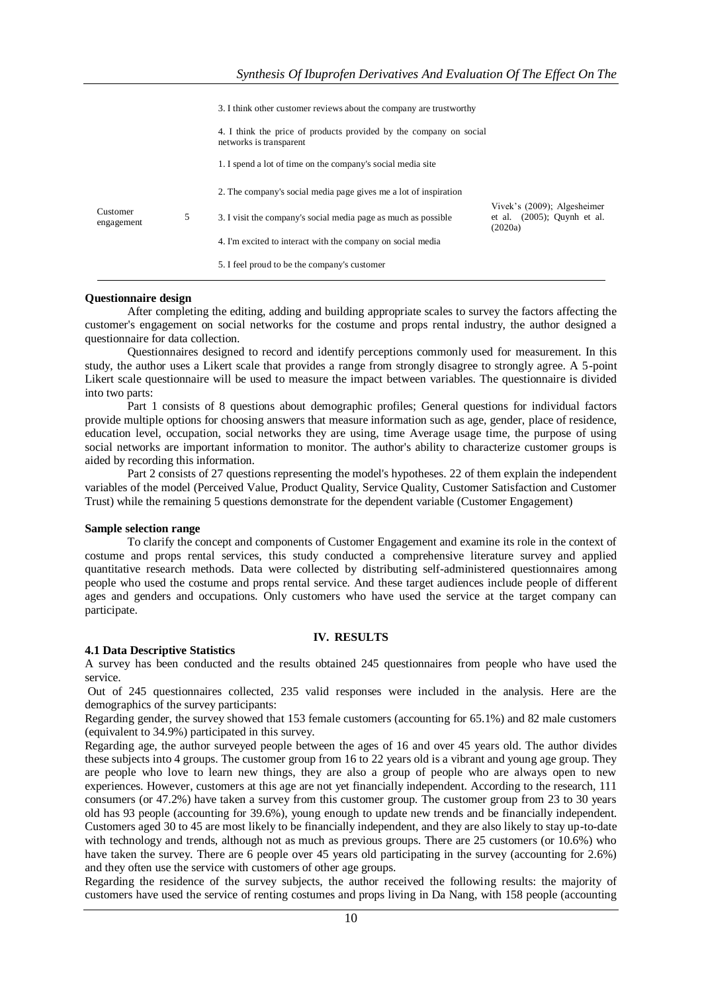|                        |   | 3. I think other customer reviews about the company are trustworthy                           |                                                                          |
|------------------------|---|-----------------------------------------------------------------------------------------------|--------------------------------------------------------------------------|
|                        |   | 4. I think the price of products provided by the company on social<br>networks is transparent |                                                                          |
|                        |   | 1. I spend a lot of time on the company's social media site                                   |                                                                          |
|                        |   | 2. The company's social media page gives me a lot of inspiration                              |                                                                          |
| Customer<br>engagement | 5 | 3. I visit the company's social media page as much as possible                                | Vivek's (2009); Algesheimer<br>et al. $(2005)$ ; Ouynh et al.<br>(2020a) |
|                        |   | 4. I'm excited to interact with the company on social media                                   |                                                                          |
|                        |   | 5. I feel proud to be the company's customer                                                  |                                                                          |

### **Questionnaire design**

After completing the editing, adding and building appropriate scales to survey the factors affecting the customer's engagement on social networks for the costume and props rental industry, the author designed a questionnaire for data collection.

Questionnaires designed to record and identify perceptions commonly used for measurement. In this study, the author uses a Likert scale that provides a range from strongly disagree to strongly agree. A 5-point Likert scale questionnaire will be used to measure the impact between variables. The questionnaire is divided into two parts:

Part 1 consists of 8 questions about demographic profiles; General questions for individual factors provide multiple options for choosing answers that measure information such as age, gender, place of residence, education level, occupation, social networks they are using, time Average usage time, the purpose of using social networks are important information to monitor. The author's ability to characterize customer groups is aided by recording this information.

Part 2 consists of 27 questions representing the model's hypotheses. 22 of them explain the independent variables of the model (Perceived Value, Product Quality, Service Quality, Customer Satisfaction and Customer Trust) while the remaining 5 questions demonstrate for the dependent variable (Customer Engagement)

#### **Sample selection range**

To clarify the concept and components of Customer Engagement and examine its role in the context of costume and props rental services, this study conducted a comprehensive literature survey and applied quantitative research methods. Data were collected by distributing self-administered questionnaires among people who used the costume and props rental service. And these target audiences include people of different ages and genders and occupations. Only customers who have used the service at the target company can participate.

#### **IV. RESULTS**

# **4.1 Data Descriptive Statistics**

A survey has been conducted and the results obtained 245 questionnaires from people who have used the service.

Out of 245 questionnaires collected, 235 valid responses were included in the analysis. Here are the demographics of the survey participants:

Regarding gender, the survey showed that 153 female customers (accounting for 65.1%) and 82 male customers (equivalent to 34.9%) participated in this survey.

Regarding age, the author surveyed people between the ages of 16 and over 45 years old. The author divides these subjects into 4 groups. The customer group from 16 to 22 years old is a vibrant and young age group. They are people who love to learn new things, they are also a group of people who are always open to new experiences. However, customers at this age are not yet financially independent. According to the research, 111 consumers (or 47.2%) have taken a survey from this customer group. The customer group from 23 to 30 years old has 93 people (accounting for 39.6%), young enough to update new trends and be financially independent. Customers aged 30 to 45 are most likely to be financially independent, and they are also likely to stay up-to-date with technology and trends, although not as much as previous groups. There are 25 customers (or 10.6%) who have taken the survey. There are 6 people over 45 years old participating in the survey (accounting for 2.6%) and they often use the service with customers of other age groups.

Regarding the residence of the survey subjects, the author received the following results: the majority of customers have used the service of renting costumes and props living in Da Nang, with 158 people (accounting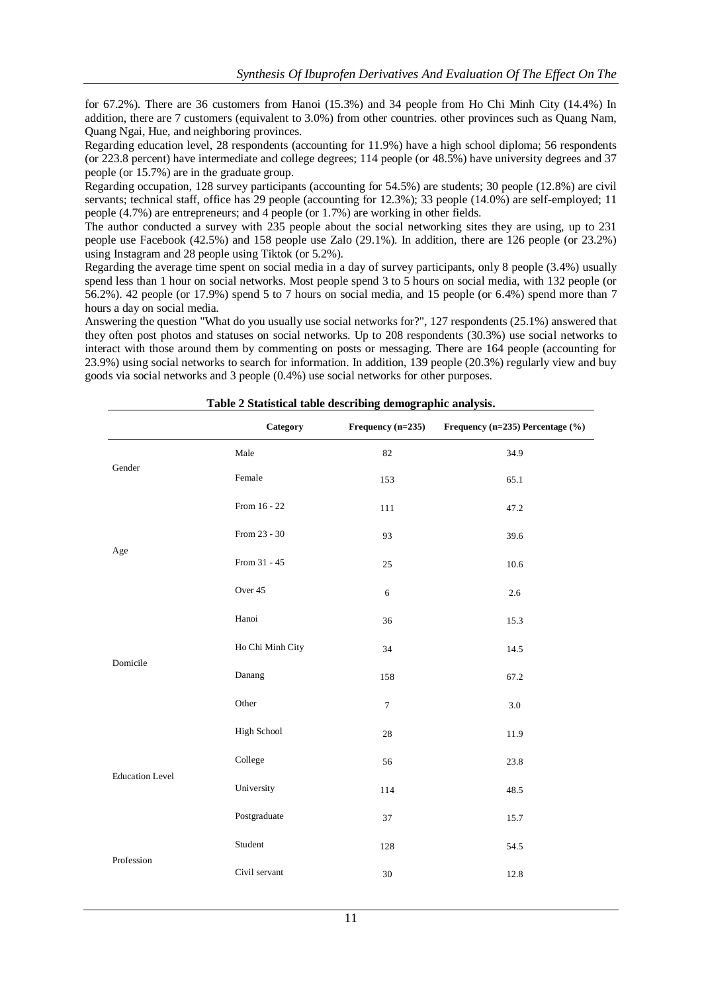for 67.2%). There are 36 customers from Hanoi (15.3%) and 34 people from Ho Chi Minh City (14.4%) In addition, there are 7 customers (equivalent to 3.0%) from other countries. other provinces such as Quang Nam, Quang Ngai, Hue, and neighboring provinces.

Regarding education level, 28 respondents (accounting for 11.9%) have a high school diploma; 56 respondents (or 223.8 percent) have intermediate and college degrees; 114 people (or 48.5%) have university degrees and 37 people (or 15.7%) are in the graduate group.

Regarding occupation, 128 survey participants (accounting for 54.5%) are students; 30 people (12.8%) are civil servants; technical staff, office has 29 people (accounting for 12.3%); 33 people (14.0%) are self-employed; 11 people (4.7%) are entrepreneurs; and 4 people (or 1.7%) are working in other fields.

The author conducted a survey with 235 people about the social networking sites they are using, up to 231 people use Facebook (42.5%) and 158 people use Zalo (29.1%). In addition, there are 126 people (or 23.2%) using Instagram and 28 people using Tiktok (or 5.2%).

Regarding the average time spent on social media in a day of survey participants, only 8 people (3.4%) usually spend less than 1 hour on social networks. Most people spend 3 to 5 hours on social media, with 132 people (or 56.2%). 42 people (or 17.9%) spend 5 to 7 hours on social media, and 15 people (or 6.4%) spend more than 7 hours a day on social media.

Answering the question "What do you usually use social networks for?", 127 respondents (25.1%) answered that they often post photos and statuses on social networks. Up to 208 respondents (30.3%) use social networks to interact with those around them by commenting on posts or messaging. There are 164 people (accounting for 23.9%) using social networks to search for information. In addition, 139 people (20.3%) regularly view and buy goods via social networks and 3 people (0.4%) use social networks for other purposes.

|                        | Category         | Frequency $(n=235)$ | Frequency (n=235) Percentage (%) |
|------------------------|------------------|---------------------|----------------------------------|
|                        | Male             | 82                  | 34.9                             |
| $\mbox{Gender}$        | Female           | 153                 | 65.1                             |
|                        | From 16 - 22     | 111                 | 47.2                             |
| Age                    | From 23 - 30     | 93                  | 39.6                             |
|                        | From 31 - 45     | 25                  | 10.6                             |
|                        | Over 45          | 6                   | 2.6                              |
|                        | Hanoi            | 36                  | 15.3                             |
|                        | Ho Chi Minh City | 34                  | 14.5                             |
| Domicile               | Danang           | 158                 | 67.2                             |
|                        | Other            | $\boldsymbol{7}$    | $3.0\,$                          |
|                        | High School      | $28\,$              | 11.9                             |
|                        | College          | 56                  | 23.8                             |
| <b>Education Level</b> | University       | 114                 | 48.5                             |
|                        | Postgraduate     | 37                  | 15.7                             |
|                        | Student          | 128                 | 54.5                             |
| Profession             | Civil servant    | $30\,$              | 12.8                             |

**Table 2 Statistical table describing demographic analysis.**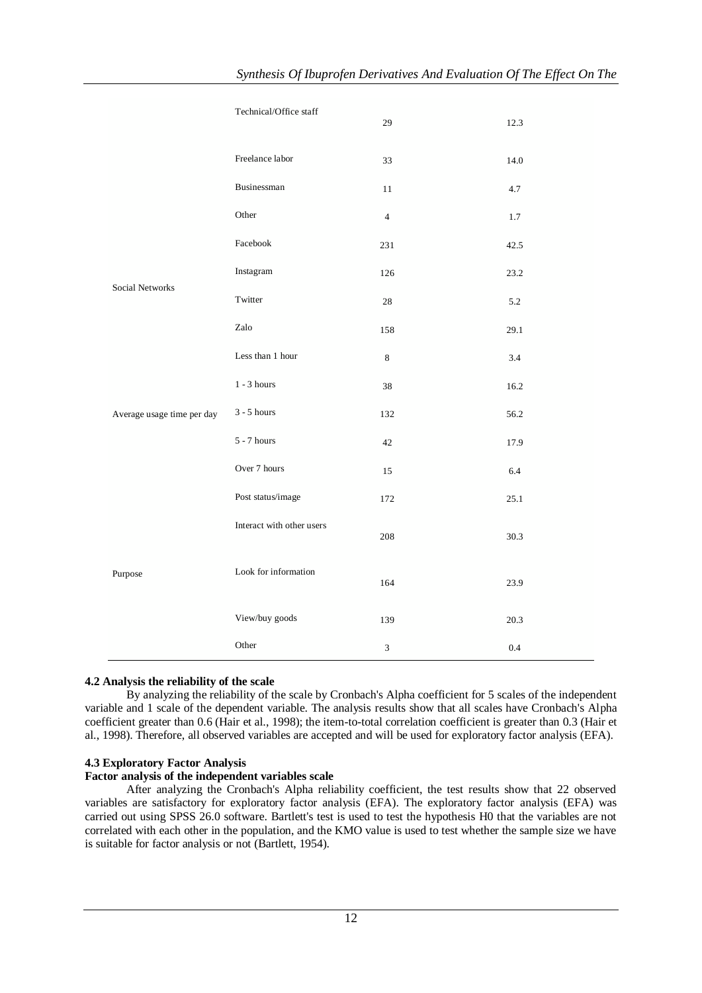|                            | Technical/Office staff    | 29                          | 12.3 |
|----------------------------|---------------------------|-----------------------------|------|
|                            | Freelance labor           | 33                          | 14.0 |
|                            | Businessman               | 11                          | 4.7  |
|                            | Other                     | $\overline{4}$              | 1.7  |
|                            | Facebook                  | 231                         | 42.5 |
| Social Networks            | Instagram                 | 126                         | 23.2 |
|                            | Twitter                   | 28                          | 5.2  |
|                            | Zalo                      | 158                         | 29.1 |
|                            | Less than 1 hour          | $\,$ 8 $\,$                 | 3.4  |
|                            | $1 - 3$ hours             | 38                          | 16.2 |
| Average usage time per day | $3 - 5$ hours             | 132                         | 56.2 |
|                            | $5 - 7$ hours             | $42\,$                      | 17.9 |
|                            | Over 7 hours              | 15                          | 6.4  |
|                            | Post status/image         | 172                         | 25.1 |
|                            | Interact with other users | 208                         | 30.3 |
| Purpose                    | Look for information      | 164                         | 23.9 |
|                            | View/buy goods            | 139                         | 20.3 |
|                            | Other                     | $\ensuremath{\mathfrak{Z}}$ | 0.4  |

# **4.2 Analysis the reliability of the scale**

By analyzing the reliability of the scale by Cronbach's Alpha coefficient for 5 scales of the independent variable and 1 scale of the dependent variable. The analysis results show that all scales have Cronbach's Alpha coefficient greater than 0.6 (Hair et al., 1998); the item-to-total correlation coefficient is greater than 0.3 (Hair et al., 1998). Therefore, all observed variables are accepted and will be used for exploratory factor analysis (EFA).

#### **4.3 Exploratory Factor Analysis**

## **Factor analysis of the independent variables scale**

After analyzing the Cronbach's Alpha reliability coefficient, the test results show that 22 observed variables are satisfactory for exploratory factor analysis (EFA). The exploratory factor analysis (EFA) was carried out using SPSS 26.0 software. Bartlett's test is used to test the hypothesis H0 that the variables are not correlated with each other in the population, and the KMO value is used to test whether the sample size we have is suitable for factor analysis or not (Bartlett, 1954).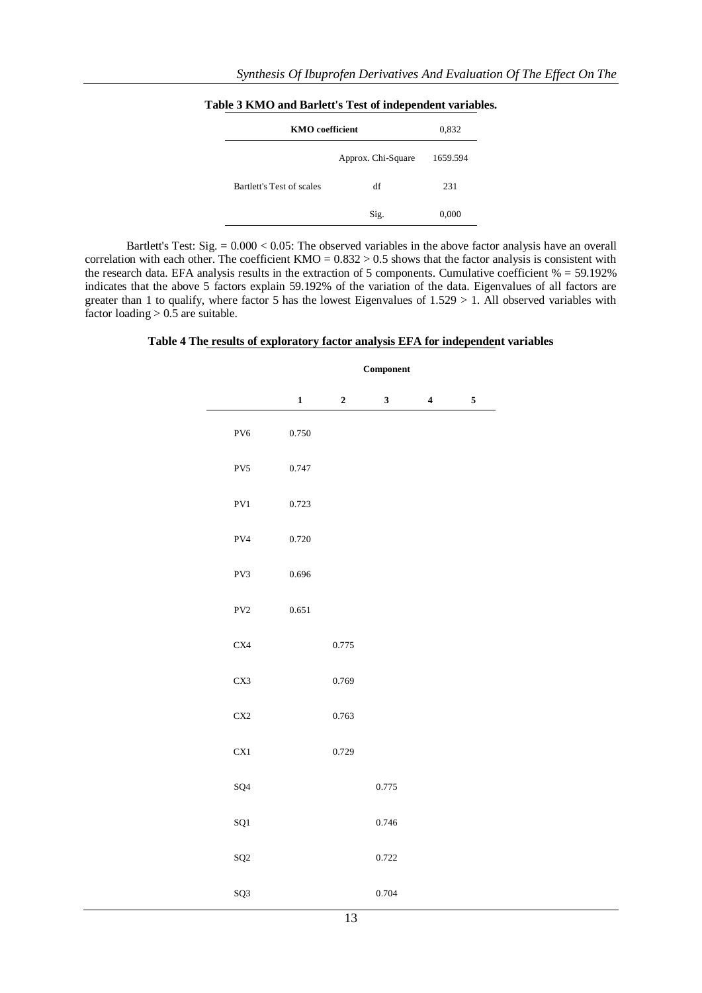| <b>KMO</b> coefficient    | 0,832              |          |
|---------------------------|--------------------|----------|
|                           | Approx. Chi-Square | 1659.594 |
| Bartlett's Test of scales | df                 | 231      |
|                           | Sig.               | 0,000    |

**Table 3 KMO and Barlett's Test of independent variables.**

Bartlett's Test: Sig. = 0.000 < 0.05: The observed variables in the above factor analysis have an overall correlation with each other. The coefficient  $KMO = 0.832 > 0.5$  shows that the factor analysis is consistent with the research data. EFA analysis results in the extraction of 5 components. Cumulative coefficient % = 59.192% indicates that the above 5 factors explain 59.192% of the variation of the data. Eigenvalues of all factors are greater than 1 to qualify, where factor 5 has the lowest Eigenvalues of 1.529 > 1. All observed variables with factor loading  $> 0.5$  are suitable.

**Table 4 The results of exploratory factor analysis EFA for independent variables**

|                     | ${\bf Component}$ |                         |              |                         |           |  |
|---------------------|-------------------|-------------------------|--------------|-------------------------|-----------|--|
|                     | $\mathbf 1$       | $\overline{\mathbf{c}}$ | $\mathbf{3}$ | $\overline{\mathbf{4}}$ | ${\bf 5}$ |  |
| PV6                 | 0.750             |                         |              |                         |           |  |
| PV5                 | 0.747             |                         |              |                         |           |  |
| PV1                 | 0.723             |                         |              |                         |           |  |
| ${\rm PV4}$         | 0.720             |                         |              |                         |           |  |
| PV3                 | 0.696             |                         |              |                         |           |  |
| ${\rm PV2}$         | 0.651             |                         |              |                         |           |  |
| C <sub>X4</sub>     |                   | 0.775                   |              |                         |           |  |
| CX3                 |                   | 0.769                   |              |                         |           |  |
| CX2                 |                   | 0.763                   |              |                         |           |  |
| CX1                 |                   | 0.729                   |              |                         |           |  |
| SQ <sub>4</sub>     |                   |                         | 0.775        |                         |           |  |
| ${\bf S} {\bf Q} 1$ |                   |                         | 0.746        |                         |           |  |
| SQ <sub>2</sub>     |                   |                         | 0.722        |                         |           |  |
| SQ3                 |                   |                         | 0.704        |                         |           |  |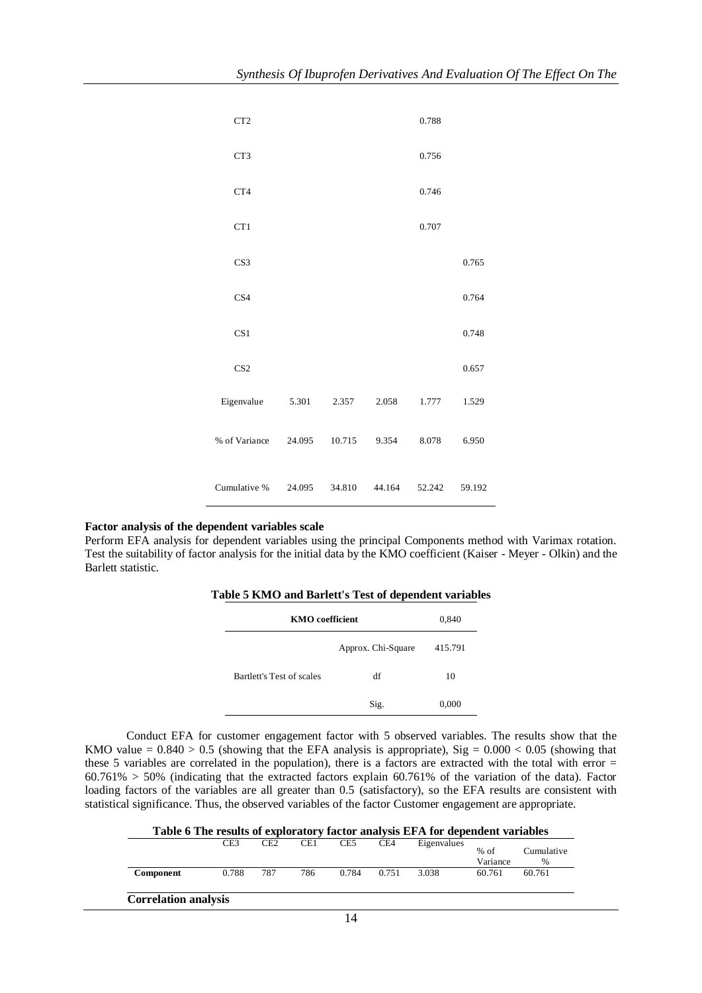| CT <sub>2</sub> |        |        |        | 0.788  |        |
|-----------------|--------|--------|--------|--------|--------|
| CT3             |        |        |        | 0.756  |        |
| CT4             |        |        |        | 0.746  |        |
| CT1             |        |        |        | 0.707  |        |
| CS <sub>3</sub> |        |        |        |        | 0.765  |
| CS <sub>4</sub> |        |        |        |        | 0.764  |
| CS <sub>1</sub> |        |        |        |        | 0.748  |
| CS <sub>2</sub> |        |        |        |        | 0.657  |
| Eigenvalue      | 5.301  | 2.357  | 2.058  | 1.777  | 1.529  |
| % of Variance   | 24.095 | 10.715 | 9.354  | 8.078  | 6.950  |
| Cumulative %    | 24.095 | 34.810 | 44.164 | 52.242 | 59.192 |

# **Factor analysis of the dependent variables scale**

Perform EFA analysis for dependent variables using the principal Components method with Varimax rotation. Test the suitability of factor analysis for the initial data by the KMO coefficient (Kaiser - Meyer - Olkin) and the Barlett statistic.

| Table 5 KMO and Barlett's Test of dependent variables |  |  |  |  |
|-------------------------------------------------------|--|--|--|--|
|-------------------------------------------------------|--|--|--|--|

| <b>KMO</b> coefficient    |                    | 0,840   |
|---------------------------|--------------------|---------|
|                           | Approx. Chi-Square | 415.791 |
| Bartlett's Test of scales | df                 | 10      |
|                           | Sig.               | 0,000   |

Conduct EFA for customer engagement factor with 5 observed variables. The results show that the KMO value =  $0.840 > 0.5$  (showing that the EFA analysis is appropriate), Sig =  $0.000 < 0.05$  (showing that these 5 variables are correlated in the population), there is a factors are extracted with the total with error =  $60.761\% > 50\%$  (indicating that the extracted factors explain 60.761% of the variation of the data). Factor loading factors of the variables are all greater than 0.5 (satisfactory), so the EFA results are consistent with statistical significance. Thus, the observed variables of the factor Customer engagement are appropriate.

|           | CE3   | CE <sub>2</sub> | CE1 | CE5   | CE4   | Eigenvalues | $%$ of<br>Variance | Cumulative<br>$\frac{0}{0}$ |
|-----------|-------|-----------------|-----|-------|-------|-------------|--------------------|-----------------------------|
| Component | 0.788 | 787             | 786 | 0.784 | 0.751 | 3.038       | 60.761             | 60.761                      |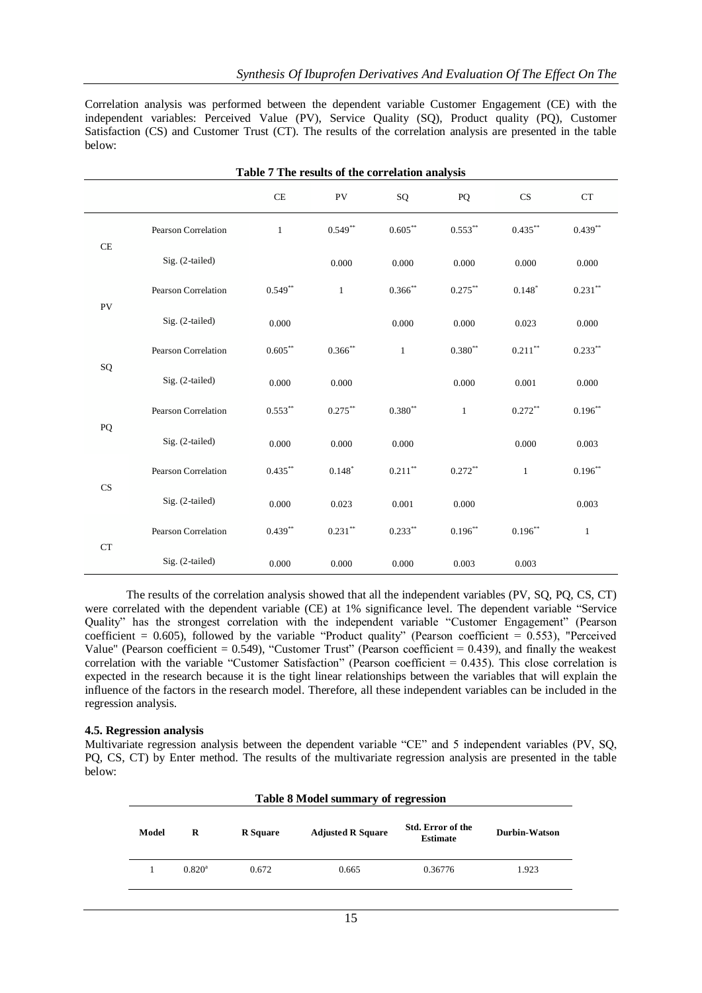Correlation analysis was performed between the dependent variable Customer Engagement (CE) with the independent variables: Perceived Value (PV), Service Quality (SQ), Product quality (PQ), Customer Satisfaction (CS) and Customer Trust (CT). The results of the correlation analysis are presented in the table below:

|            | Table 7 The results of the correlation analysis |                    |              |               |                    |              |              |  |
|------------|-------------------------------------------------|--------------------|--------------|---------------|--------------------|--------------|--------------|--|
|            |                                                 | CE                 | PV           | SQ            | PQ                 | CS           | CT           |  |
|            | Pearson Correlation                             | $\mathbf{1}$       | $0.549**$    | $0.605**$     | $0.553**$          | $0.435***$   | $0.439**$    |  |
| CE         | Sig. (2-tailed)                                 |                    | 0.000        | 0.000         | 0.000              | 0.000        | 0.000        |  |
| PV         | Pearson Correlation                             | $0.549**$          | $\mathbf{1}$ | $0.366$ **    | $0.275***$         | $0.148*$     | $0.231**$    |  |
|            | $Sig. (2-tailed)$                               | 0.000              |              | 0.000         | 0.000              | 0.023        | 0.000        |  |
| ${\rm SQ}$ | Pearson Correlation                             | $0.605^{\ast\ast}$ | $0.366$ **   | $\mathbf{1}$  | $0.380^{\ast\ast}$ | $0.211***$   | $0.233***$   |  |
|            | Sig. (2-tailed)                                 | 0.000              | 0.000        |               | 0.000              | 0.001        | 0.000        |  |
| PQ         | Pearson Correlation                             | $0.553***$         | $0.275***$   | $0.380**$     | $\mathbf{1}$       | $0.272**$    | $0.196**$    |  |
|            | $Sig. (2-tailed)$                               | 0.000              | 0.000        | 0.000         |                    | 0.000        | 0.003        |  |
| CS         | Pearson Correlation                             | $0.435***$         | $0.148*$     | $0.211\sp{*}$ | $0.272**$          | $\mathbf{1}$ | $0.196^{**}$ |  |
|            | Sig. (2-tailed)                                 | 0.000              | 0.023        | 0.001         | 0.000              |              | 0.003        |  |
| <b>CT</b>  | Pearson Correlation                             | $0.439***$         | $0.231***$   | $0.233***$    | $0.196**$          | $0.196**$    | $\mathbf{1}$ |  |
|            | $Sig. (2-tailed)$                               | 0.000              | 0.000        | 0.000         | 0.003              | 0.003        |              |  |

The results of the correlation analysis showed that all the independent variables (PV, SQ, PQ, CS, CT) were correlated with the dependent variable (CE) at 1% significance level. The dependent variable "Service Quality" has the strongest correlation with the independent variable "Customer Engagement" (Pearson coefficient = 0.605), followed by the variable "Product quality" (Pearson coefficient =  $0.553$ ), "Perceived Value" (Pearson coefficient =  $0.549$ ), "Customer Trust" (Pearson coefficient =  $0.439$ ), and finally the weakest correlation with the variable "Customer Satisfaction" (Pearson coefficient = 0.435). This close correlation is expected in the research because it is the tight linear relationships between the variables that will explain the influence of the factors in the research model. Therefore, all these independent variables can be included in the regression analysis.

# **4.5. Regression analysis**

Multivariate regression analysis between the dependent variable "CE" and 5 independent variables (PV, SQ, PQ, CS, CT) by Enter method. The results of the multivariate regression analysis are presented in the table below:

|       | <b>Table 8 Model summary of regression</b> |                 |                          |                                             |               |  |  |  |  |
|-------|--------------------------------------------|-----------------|--------------------------|---------------------------------------------|---------------|--|--|--|--|
| Model | R                                          | <b>R</b> Square | <b>Adjusted R Square</b> | <b>Std. Error of the</b><br><b>Estimate</b> | Durbin-Watson |  |  |  |  |
|       | $0.820^{\rm a}$                            | 0.672           | 0.665                    | 0.36776                                     | 1.923         |  |  |  |  |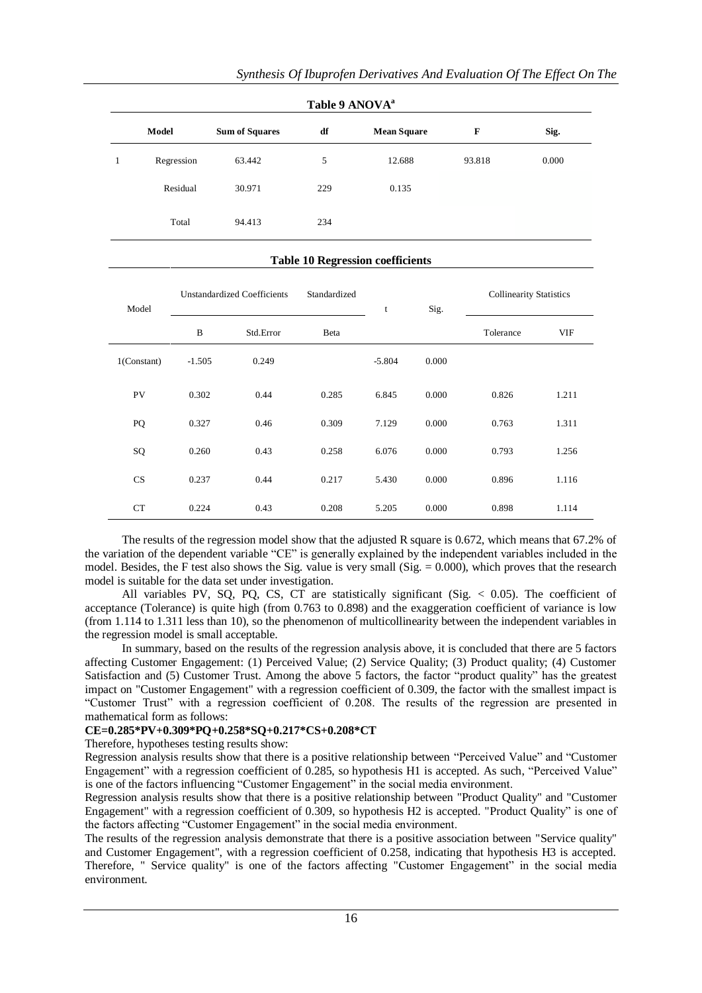| Table 9 ANOVA <sup>a</sup> |            |                       |     |                    |        |       |  |  |  |  |
|----------------------------|------------|-----------------------|-----|--------------------|--------|-------|--|--|--|--|
| Model                      |            | <b>Sum of Squares</b> | df  | <b>Mean Square</b> | F      | Sig.  |  |  |  |  |
| 1                          | Regression | 63.442                | 5   | 12.688             | 93.818 | 0.000 |  |  |  |  |
|                            | Residual   | 30.971                | 229 | 0.135              |        |       |  |  |  |  |
|                            | Total      | 94.413                | 234 |                    |        |       |  |  |  |  |

#### **Table 10 Regression coefficients**

| Model          | <b>Unstandardized Coefficients</b> |           | Standardized | t        | Sig.  | <b>Collinearity Statistics</b> |       |
|----------------|------------------------------------|-----------|--------------|----------|-------|--------------------------------|-------|
|                | B                                  | Std.Error | Beta         |          |       | Tolerance                      | VIF   |
| $1$ (Constant) | $-1.505$                           | 0.249     |              | $-5.804$ | 0.000 |                                |       |
| PV             | 0.302                              | 0.44      | 0.285        | 6.845    | 0.000 | 0.826                          | 1.211 |
| PQ             | 0.327                              | 0.46      | 0.309        | 7.129    | 0.000 | 0.763                          | 1.311 |
| SQ             | 0.260                              | 0.43      | 0.258        | 6.076    | 0.000 | 0.793                          | 1.256 |
| <b>CS</b>      | 0.237                              | 0.44      | 0.217        | 5.430    | 0.000 | 0.896                          | 1.116 |
| CT             | 0.224                              | 0.43      | 0.208        | 5.205    | 0.000 | 0.898                          | 1.114 |

The results of the regression model show that the adjusted R square is 0.672, which means that 67.2% of the variation of the dependent variable "CE" is generally explained by the independent variables included in the model. Besides, the F test also shows the Sig. value is very small (Sig.  $= 0.000$ ), which proves that the research model is suitable for the data set under investigation.

All variables PV, SQ, PQ, CS, CT are statistically significant (Sig. < 0.05). The coefficient of acceptance (Tolerance) is quite high (from 0.763 to 0.898) and the exaggeration coefficient of variance is low (from 1.114 to 1.311 less than 10), so the phenomenon of multicollinearity between the independent variables in the regression model is small acceptable.

In summary, based on the results of the regression analysis above, it is concluded that there are 5 factors affecting Customer Engagement: (1) Perceived Value; (2) Service Quality; (3) Product quality; (4) Customer Satisfaction and (5) Customer Trust. Among the above 5 factors, the factor "product quality" has the greatest impact on "Customer Engagement" with a regression coefficient of 0.309, the factor with the smallest impact is "Customer Trust" with a regression coefficient of 0.208. The results of the regression are presented in mathematical form as follows:

# **CE=0.285\*PV+0.309\*PQ+0.258\*SQ+0.217\*CS+0.208\*CT**

Therefore, hypotheses testing results show:

Regression analysis results show that there is a positive relationship between "Perceived Value" and "Customer Engagement" with a regression coefficient of 0.285, so hypothesis H1 is accepted. As such, "Perceived Value" is one of the factors influencing "Customer Engagement" in the social media environment.

Regression analysis results show that there is a positive relationship between "Product Quality" and "Customer Engagement" with a regression coefficient of 0.309, so hypothesis H2 is accepted. "Product Quality" is one of the factors affecting "Customer Engagement" in the social media environment.

The results of the regression analysis demonstrate that there is a positive association between "Service quality" and Customer Engagement", with a regression coefficient of 0.258, indicating that hypothesis H3 is accepted. Therefore, " Service quality" is one of the factors affecting "Customer Engagement" in the social media environment.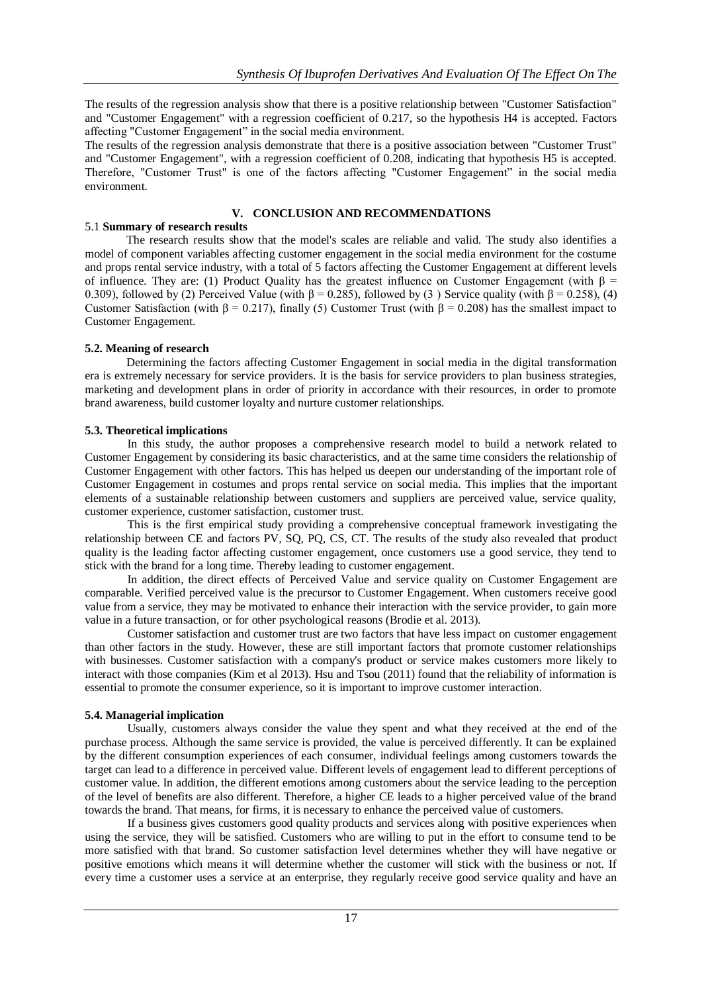The results of the regression analysis show that there is a positive relationship between "Customer Satisfaction" and "Customer Engagement" with a regression coefficient of 0.217, so the hypothesis H4 is accepted. Factors affecting "Customer Engagement" in the social media environment.

The results of the regression analysis demonstrate that there is a positive association between "Customer Trust" and "Customer Engagement", with a regression coefficient of 0.208, indicating that hypothesis H5 is accepted. Therefore, "Customer Trust" is one of the factors affecting "Customer Engagement" in the social media environment.

# **V. CONCLUSION AND RECOMMENDATIONS**

# 5.1 **Summary of research results**

The research results show that the model's scales are reliable and valid. The study also identifies a model of component variables affecting customer engagement in the social media environment for the costume and props rental service industry, with a total of 5 factors affecting the Customer Engagement at different levels of influence. They are: (1) Product Quality has the greatest influence on Customer Engagement (with  $\beta$  = 0.309), followed by (2) Perceived Value (with  $\beta$  = 0.285), followed by (3) Service quality (with  $\beta$  = 0.258), (4) Customer Satisfaction (with  $\beta = 0.217$ ), finally (5) Customer Trust (with  $\beta = 0.208$ ) has the smallest impact to Customer Engagement.

# **5.2. Meaning of research**

Determining the factors affecting Customer Engagement in social media in the digital transformation era is extremely necessary for service providers. It is the basis for service providers to plan business strategies, marketing and development plans in order of priority in accordance with their resources, in order to promote brand awareness, build customer loyalty and nurture customer relationships.

# **5.3. Theoretical implications**

In this study, the author proposes a comprehensive research model to build a network related to Customer Engagement by considering its basic characteristics, and at the same time considers the relationship of Customer Engagement with other factors. This has helped us deepen our understanding of the important role of Customer Engagement in costumes and props rental service on social media. This implies that the important elements of a sustainable relationship between customers and suppliers are perceived value, service quality, customer experience, customer satisfaction, customer trust.

This is the first empirical study providing a comprehensive conceptual framework investigating the relationship between CE and factors PV, SQ, PQ, CS, CT. The results of the study also revealed that product quality is the leading factor affecting customer engagement, once customers use a good service, they tend to stick with the brand for a long time. Thereby leading to customer engagement.

In addition, the direct effects of Perceived Value and service quality on Customer Engagement are comparable. Verified perceived value is the precursor to Customer Engagement. When customers receive good value from a service, they may be motivated to enhance their interaction with the service provider, to gain more value in a future transaction, or for other psychological reasons (Brodie et al. 2013).

Customer satisfaction and customer trust are two factors that have less impact on customer engagement than other factors in the study. However, these are still important factors that promote customer relationships with businesses. Customer satisfaction with a company's product or service makes customers more likely to interact with those companies (Kim et al 2013). Hsu and Tsou (2011) found that the reliability of information is essential to promote the consumer experience, so it is important to improve customer interaction.

# **5.4. Managerial implication**

Usually, customers always consider the value they spent and what they received at the end of the purchase process. Although the same service is provided, the value is perceived differently. It can be explained by the different consumption experiences of each consumer, individual feelings among customers towards the target can lead to a difference in perceived value. Different levels of engagement lead to different perceptions of customer value. In addition, the different emotions among customers about the service leading to the perception of the level of benefits are also different. Therefore, a higher CE leads to a higher perceived value of the brand towards the brand. That means, for firms, it is necessary to enhance the perceived value of customers.

If a business gives customers good quality products and services along with positive experiences when using the service, they will be satisfied. Customers who are willing to put in the effort to consume tend to be more satisfied with that brand. So customer satisfaction level determines whether they will have negative or positive emotions which means it will determine whether the customer will stick with the business or not. If every time a customer uses a service at an enterprise, they regularly receive good service quality and have an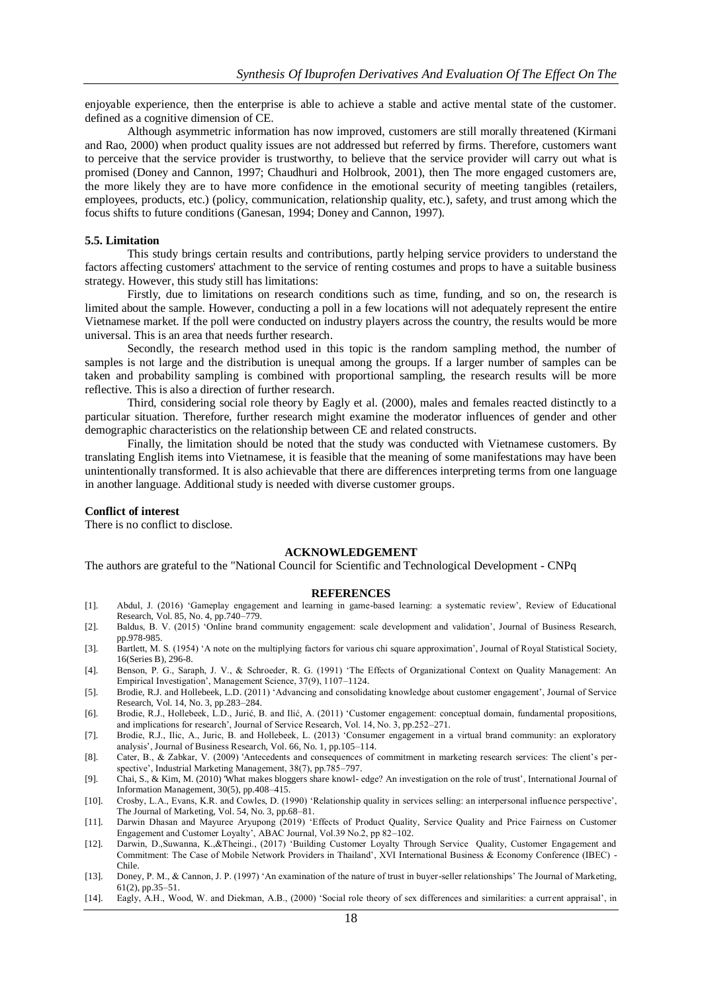enjoyable experience, then the enterprise is able to achieve a stable and active mental state of the customer. defined as a cognitive dimension of CE.

Although asymmetric information has now improved, customers are still morally threatened (Kirmani and Rao, 2000) when product quality issues are not addressed but referred by firms. Therefore, customers want to perceive that the service provider is trustworthy, to believe that the service provider will carry out what is promised (Doney and Cannon, 1997; Chaudhuri and Holbrook, 2001), then The more engaged customers are, the more likely they are to have more confidence in the emotional security of meeting tangibles (retailers, employees, products, etc.) (policy, communication, relationship quality, etc.), safety, and trust among which the focus shifts to future conditions (Ganesan, 1994; Doney and Cannon, 1997).

#### **5.5. Limitation**

This study brings certain results and contributions, partly helping service providers to understand the factors affecting customers' attachment to the service of renting costumes and props to have a suitable business strategy. However, this study still has limitations:

Firstly, due to limitations on research conditions such as time, funding, and so on, the research is limited about the sample. However, conducting a poll in a few locations will not adequately represent the entire Vietnamese market. If the poll were conducted on industry players across the country, the results would be more universal. This is an area that needs further research.

Secondly, the research method used in this topic is the random sampling method, the number of samples is not large and the distribution is unequal among the groups. If a larger number of samples can be taken and probability sampling is combined with proportional sampling, the research results will be more reflective. This is also a direction of further research.

Third, considering social role theory by Eagly et al. (2000), males and females reacted distinctly to a particular situation. Therefore, further research might examine the moderator influences of gender and other demographic characteristics on the relationship between CE and related constructs.

Finally, the limitation should be noted that the study was conducted with Vietnamese customers. By translating English items into Vietnamese, it is feasible that the meaning of some manifestations may have been unintentionally transformed. It is also achievable that there are differences interpreting terms from one language in another language. Additional study is needed with diverse customer groups.

#### **Conflict of interest**

There is no conflict to disclose.

#### **ACKNOWLEDGEMENT**

The authors are grateful to the "National Council for Scientific and Technological Development - CNPq

#### **REFERENCES**

- [1]. Abdul, J. (2016) 'Gameplay engagement and learning in game-based learning: a systematic review', Review of Educational Research, Vol. 85, No. 4, pp.740–779.
- [2]. Baldus, B. V. (2015) 'Online brand community engagement: scale development and validation', Journal of Business Research, pp.978-985.
- [3]. Bartlett, M. S. (1954) 'A note on the multiplying factors for various chi square approximation', Journal of Royal Statistical Society, 16(Series B), 296-8.
- [4]. Benson, P. G., Saraph, J. V., & Schroeder, R. G. (1991) 'The Effects of Organizational Context on Quality Management: An Empirical Investigation', Management Science, 37(9), 1107–1124.
- [5]. Brodie, R.J. and Hollebeek, L.D. (2011) 'Advancing and consolidating knowledge about customer engagement', Journal of Service Research, Vol. 14, No. 3, pp.283–284.
- [6]. Brodie, R.J., Hollebeek, L.D., Jurić, B. and Ilić, A. (2011) 'Customer engagement: conceptual domain, fundamental propositions, and implications for research', Journal of Service Research, Vol. 14, No. 3, pp.252–271.
- [7]. Brodie, R.J., Ilic, A., Juric, B. and Hollebeek, L. (2013) 'Consumer engagement in a virtual brand community: an exploratory analysis', Journal of Business Research, Vol. 66, No. 1, pp.105–114.
- [8]. Cater, B., & Zabkar, V. (2009) 'Antecedents and consequences of commitment in marketing research services: The client's perspective', Industrial Marketing Management, 38(7), pp.785–797.
- [9]. Chai, S., & Kim, M. (2010) 'What makes bloggers share knowl- edge? An investigation on the role of trust', International Journal of Information Management, 30(5), pp.408–415.
- [10]. Crosby, L.A., Evans, K.R. and Cowles, D. (1990) 'Relationship quality in services selling: an interpersonal influence perspective', The Journal of Marketing, Vol. 54, No. 3, pp.68–81.
- [11]. Darwin Dhasan and Mayuree Aryupong (2019) 'Effects of Product Quality, Service Quality and Price Fairness on Customer Engagement and Customer Loyalty', ABAC Journal, Vol.39 No.2, pp 82-102.
- [12]. Darwin, D.,Suwanna, K.,&Theingi., (2017) 'Building Customer Loyalty Through Service Quality, Customer Engagement and Commitment: The Case of Mobile Network Providers in Thailand', XVI International Business & Economy Conference (IBEC) - Chile.
- [13]. Doney, P. M., & Cannon, J. P. (1997) 'An examination of the nature of trust in buyer-seller relationships' The Journal of Marketing, 61(2), pp.35–51.
- [14]. Eagly, A.H., Wood, W. and Diekman, A.B., (2000) 'Social role theory of sex differences and similarities: a current appraisal', in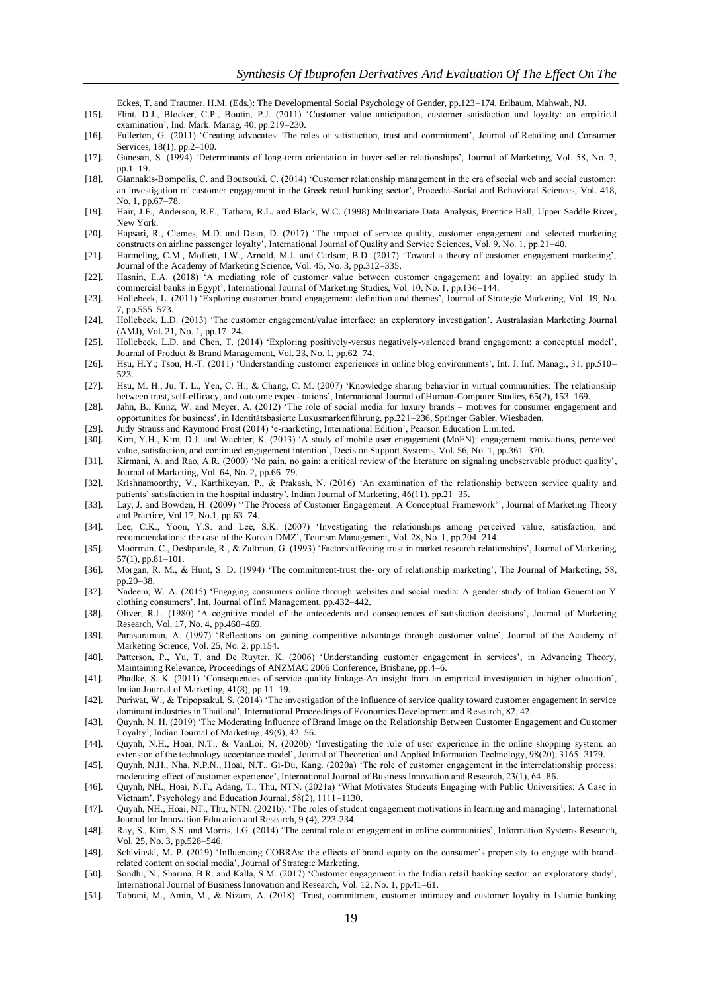Eckes, T. and Trautner, H.M. (Eds.): The Developmental Social Psychology of Gender, pp.123–174, Erlbaum, Mahwah, NJ.

- [15]. Flint, D.J., Blocker, C.P., Boutin, P.J. (2011) 'Customer value anticipation, customer satisfaction and loyalty: an empirical examination', Ind. Mark. Manag, 40, pp.219–230.
- [16]. Fullerton, G. (2011) 'Creating advocates: The roles of satisfaction, trust and commitment', Journal of Retailing and Consumer Services, 18(1), pp.2–100.
- [17]. Ganesan, S. (1994) 'Determinants of long-term orientation in buyer-seller relationships', Journal of Marketing, Vol. 58, No. 2, pp.1–19.
- [18]. Giannakis-Bompolis, C. and Boutsouki, C. (2014) 'Customer relationship management in the era of social web and social customer: an investigation of customer engagement in the Greek retail banking sector', Procedia-Social and Behavioral Sciences, Vol. 418, No. 1, pp.67–78.
- [19]. Hair, J.F., Anderson, R.E., Tatham, R.L. and Black, W.C. (1998) Multivariate Data Analysis, Prentice Hall, Upper Saddle River, New York.
- [20]. Hapsari, R., Clemes, M.D. and Dean, D. (2017) 'The impact of service quality, customer engagement and selected marketing constructs on airline passenger loyalty', International Journal of Quality and Service Sciences, Vol. 9, No. 1, pp.21–40.
- [21]. Harmeling, C.M., Moffett, J.W., Arnold, M.J. and Carlson, B.D. (2017) 'Toward a theory of customer engagement marketing', Journal of the Academy of Marketing Science, Vol. 45, No. 3, pp.312–335.
- [22]. Hasnin, E.A. (2018) 'A mediating role of customer value between customer engagement and loyalty: an applied study in commercial banks in Egypt', International Journal of Marketing Studies, Vol. 10, No. 1, pp.136–144.
- [23]. Hollebeek, L. (2011) 'Exploring customer brand engagement: definition and themes', Journal of Strategic Marketing, Vol. 19, No. 7, pp.555–573.
- [24]. Hollebeek, L.D. (2013) 'The customer engagement/value interface: an exploratory investigation', Australasian Marketing Journal (AMJ), Vol. 21, No. 1, pp.17–24.
- [25]. Hollebeek, L.D. and Chen, T. (2014) 'Exploring positively-versus negatively-valenced brand engagement: a conceptual model', Journal of Product & Brand Management, Vol. 23, No. 1, pp.62–74.
- [26]. Hsu, H.Y.; Tsou, H.-T. (2011) 'Understanding customer experiences in online blog environments', Int. J. Inf. Manag., 31, pp.510– 523.
- [27]. Hsu, M. H., Ju, T. L., Yen, C. H., & Chang, C. M. (2007) 'Knowledge sharing behavior in virtual communities: The relationship between trust, self-efficacy, and outcome expec-tations', International Journal of Human-Computer Studies, 65(2), 153-169.
- [28]. Jahn, B., Kunz, W. and Meyer, A. (2012) 'The role of social media for luxury brands motives for consumer engagement and opportunities for business', in Identitätsbasierte Luxusmarkenführung, pp.221–236, Springer Gabler, Wiesbaden.
- [29]. Judy Strauss and Raymond Frost (2014) 'e-marketing, International Edition', Pearson Education Limited. [30]. Kim, Y.H., Kim, D.J. and Wachter, K. (2013) 'A study of mobile user engagement (MoEN): engagement motivations, perceived value, satisfaction, and continued engagement intention', Decision Support Systems, Vol. 56, No. 1, pp.361–370.
- [31]. Kirmani, A. and Rao, A.R. (2000) 'No pain, no gain: a critical review of the literature on signaling unobservable product quality', Journal of Marketing, Vol. 64, No. 2, pp.66–79.
- [32]. Krishnamoorthy, V., Karthikeyan, P., & Prakash, N. (2016) 'An examination of the relationship between service quality and patients' satisfaction in the hospital industry', Indian Journal of Marketing, 46(11), pp.21–35.
- [33]. Lay, J. and Bowden, H. (2009) "The Process of Customer Engagement: A Conceptual Framework", Journal of Marketing Theory and Practice, Vol.17, No.1, pp.63–74.
- [34]. Lee, C.K., Yoon, Y.S. and Lee, S.K. (2007) 'Investigating the relationships among perceived value, satisfaction, and recommendations: the case of the Korean DMZ', Tourism Management, Vol. 28, No. 1, pp.204–214.
- [35]. Moorman, C., Deshpandé, R., & Zaltman, G. (1993) 'Factors affecting trust in market research relationships', Journal of Marketing, 57(1), pp.81–101.
- [36]. Morgan, R. M., & Hunt, S. D. (1994) 'The commitment-trust the- ory of relationship marketing', The Journal of Marketing, 58, pp.20–38.
- [37]. Nadeem, W. A. (2015) 'Engaging consumers online through websites and social media: A gender study of Italian Generation Y clothing consumers', Int. Journal of Inf. Management, pp.432–442.
- [38]. Oliver, R.L. (1980) 'A cognitive model of the antecedents and consequences of satisfaction decisions', Journal of Marketing Research, Vol. 17, No. 4, pp.460–469.
- [39]. Parasuraman, A. (1997) 'Reflections on gaining competitive advantage through customer value', Journal of the Academy of Marketing Science, Vol. 25, No. 2, pp.154.
- [40]. Patterson, P., Yu, T. and De Ruyter, K. (2006) 'Understanding customer engagement in services', in Advancing Theory, Maintaining Relevance, Proceedings of ANZMAC 2006 Conference, Brisbane, pp.4–6.
- [41]. Phadke, S. K. (2011) 'Consequences of service quality linkage-An insight from an empirical investigation in higher education', Indian Journal of Marketing, 41(8), pp.11–19.
- [42]. Puriwat, W., & Tripopsakul, S. (2014) 'The investigation of the influence of service quality toward customer engagement in service dominant industries in Thailand', International Proceedings of Economics Development and Research, 82, 42.
- [43]. Quynh, N. H. (2019) 'The Moderating Influence of Brand Image on the Relationship Between Customer Engagement and Customer Loyalty', Indian Journal of Marketing, 49(9), 42-56.
- [44]. Quynh, N.H., Hoai, N.T., & VanLoi, N. (2020b) 'Investigating the role of user experience in the online shopping system: an extension of the technology acceptance model', Journal of Theoretical and Applied Information Technology, 98(20), 3165–3179.
- [45]. Quynh, N.H., Nha, N.P.N., Hoai, N.T., Gi- u, Kang. (2020a) 'The role of customer engagement in the interrelationship process: moderating effect of customer experience', International Journal of Business Innovation and Research, 23(1), 64–86.
- [46]. Quynh, NH., Hoai, N.T., Adang, T., Thu, NTN. (2021a) 'What Motivates Students Engaging with Public Universities: A Case in Vietnam', Psychology and Education Journal, 58(2), 1111–1130.
- [47]. Quynh, NH., Hoai, NT., Thu, NTN. (2021b). 'The roles of student engagement motivations in learning and managing', International Journal for Innovation Education and Research, 9 (4), 223-234.
- [48]. Ray, S., Kim, S.S. and Morris, J.G. (2014) 'The central role of engagement in online communities', Information Systems Research, Vol. 25, No. 3, pp.528–546.
- [49]. Schivinski, M. P. (2019) 'Influencing COBRAs: the effects of brand equity on the consumer's propensity to engage with brandrelated content on social media', Journal of Strategic Marketing.
- [50]. Sondhi, N., Sharma, B.R. and Kalla, S.M. (2017) 'Customer engagement in the Indian retail banking sector: an exploratory study', International Journal of Business Innovation and Research, Vol. 12, No. 1, pp.41–61.
- [51]. Tabrani, M., Amin, M., & Nizam, A. (2018) 'Trust, commitment, customer intimacy and customer loyalty in Islamic banking